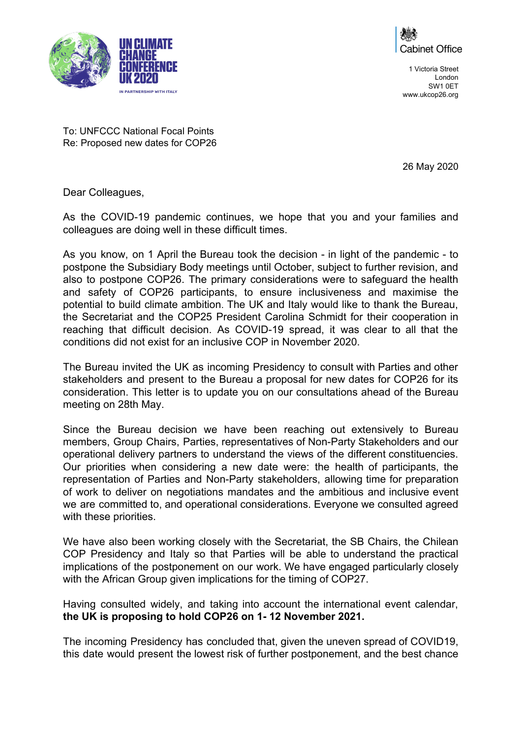



To: UNFCCC National Focal Points Re: Proposed new dates for COP26

26 May 2020

Dear Colleagues,

As the COVID-19 pandemic continues, we hope that you and your families and colleagues are doing well in these difficult times.

As you know, on 1 April the Bureau took the decision - in light of the pandemic - to postpone the Subsidiary Body meetings until October, subject to further revision, and also to postpone COP26. The primary considerations were to safeguard the health and safety of COP26 participants, to ensure inclusiveness and maximise the potential to build climate ambition. The UK and Italy would like to thank the Bureau, the Secretariat and the COP25 President Carolina Schmidt for their cooperation in reaching that difficult decision. As COVID-19 spread, it was clear to all that the conditions did not exist for an inclusive COP in November 2020.

The Bureau invited the UK as incoming Presidency to consult with Parties and other stakeholders and present to the Bureau a proposal for new dates for COP26 for its consideration. This letter is to update you on our consultations ahead of the Bureau meeting on 28th May.

Since the Bureau decision we have been reaching out extensively to Bureau members, Group Chairs, Parties, representatives of Non-Party Stakeholders and our operational delivery partners to understand the views of the different constituencies. Our priorities when considering a new date were: the health of participants, the representation of Parties and Non-Party stakeholders, allowing time for preparation of work to deliver on negotiations mandates and the ambitious and inclusive event we are committed to, and operational considerations. Everyone we consulted agreed with these priorities.

We have also been working closely with the Secretariat, the SB Chairs, the Chilean COP Presidency and Italy so that Parties will be able to understand the practical implications of the postponement on our work. We have engaged particularly closely with the African Group given implications for the timing of COP27.

Having consulted widely, and taking into account the international event calendar, **the UK is proposing to hold COP26 on 1- 12 November 2021.**

The incoming Presidency has concluded that, given the uneven spread of COVID19, this date would present the lowest risk of further postponement, and the best chance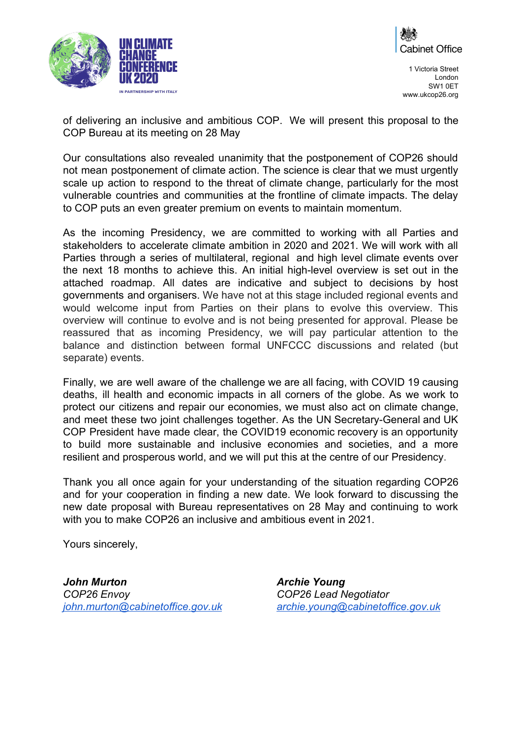



of delivering an inclusive and ambitious COP. We will present this proposal to the COP Bureau at its meeting on 28 May

Our consultations also revealed unanimity that the postponement of COP26 should not mean postponement of climate action. The science is clear that we must urgently scale up action to respond to the threat of climate change, particularly for the most vulnerable countries and communities at the frontline of climate impacts. The delay to COP puts an even greater premium on events to maintain momentum.

As the incoming Presidency, we are committed to working with all Parties and stakeholders to accelerate climate ambition in 2020 and 2021. We will work with all Parties through a series of multilateral, regional and high level climate events over the next 18 months to achieve this. An initial high-level overview is set out in the attached roadmap. All dates are indicative and subject to decisions by host governments and organisers. We have not at this stage included regional events and would welcome input from Parties on their plans to evolve this overview. This overview will continue to evolve and is not being presented for approval. Please be reassured that as incoming Presidency, we will pay particular attention to the balance and distinction between formal UNFCCC discussions and related (but separate) events.

Finally, we are well aware of the challenge we are all facing, with COVID 19 causing deaths, ill health and economic impacts in all corners of the globe. As we work to protect our citizens and repair our economies, we must also act on climate change, and meet these two joint challenges together. As the UN Secretary-General and UK COP President have made clear, the COVID19 economic recovery is an opportunity to build more sustainable and inclusive economies and societies, and a more resilient and prosperous world, and we will put this at the centre of our Presidency.

Thank you all once again for your understanding of the situation regarding COP26 and for your cooperation in finding a new date. We look forward to discussing the new date proposal with Bureau representatives on 28 May and continuing to work with you to make COP26 an inclusive and ambitious event in 2021.

Yours sincerely,

*John Murton COP26 Envoy [john.murton@cabinetoffice.gov.uk](mailto:john.murton@cabinetoffice.gov.uk)* *Archie Young COP26 Lead Negotiator [archie.young@cabinetoffice.gov.uk](mailto:archie.young@cabinetoffice.gov.uk)*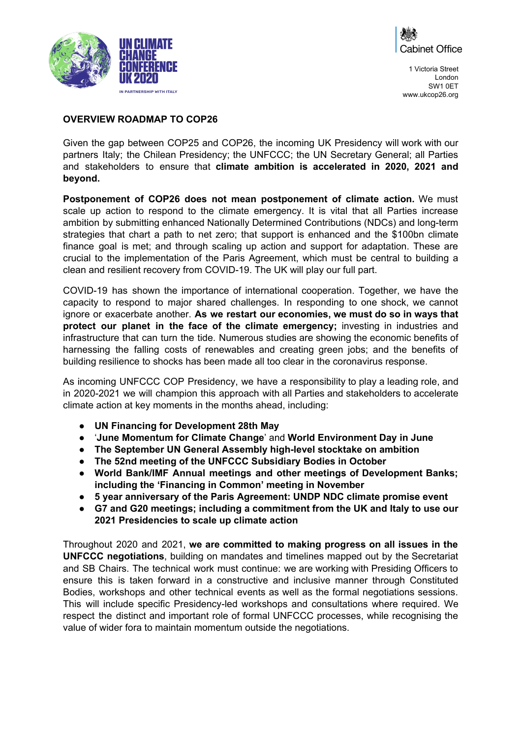



## **OVERVIEW ROADMAP TO COP26**

Given the gap between COP25 and COP26, the incoming UK Presidency will work with our partners Italy; the Chilean Presidency; the UNFCCC; the UN Secretary General; all Parties and stakeholders to ensure that **climate ambition is accelerated in 2020, 2021 and beyond.**

**Postponement of COP26 does not mean postponement of climate action.** We must scale up action to respond to the climate emergency. It is vital that all Parties increase ambition by submitting enhanced Nationally Determined Contributions (NDCs) and long-term strategies that chart a path to net zero; that support is enhanced and the \$100bn climate finance goal is met; and through scaling up action and support for adaptation. These are crucial to the implementation of the Paris Agreement, which must be central to building a clean and resilient recovery from COVID-19. The UK will play our full part.

COVID-19 has shown the importance of international cooperation. Together, we have the capacity to respond to major shared challenges. In responding to one shock, we cannot ignore or exacerbate another. **As we restart our economies, we must do so in ways that protect our planet in the face of the climate emergency;** investing in industries and infrastructure that can turn the tide. Numerous studies are showing the economic benefits of harnessing the falling costs of renewables and creating green jobs; and the benefits of building resilience to shocks has been made all too clear in the coronavirus response.

As incoming UNFCCC COP Presidency, we have a responsibility to play a leading role, and in 2020-2021 we will champion this approach with all Parties and stakeholders to accelerate climate action at key moments in the months ahead, including:

- **● UN Financing for Development 28th May**
- '**June Momentum for Climate Change**' and **World Environment Day in June**
- **● The September UN General Assembly high-level stocktake on ambition**
- **● The 52nd meeting of the UNFCCC Subsidiary Bodies in October**
- **● World Bank/IMF Annual meetings and other meetings of Development Banks; including the 'Financing in Common' meeting in November**
- **● 5 year anniversary of the Paris Agreement: UNDP NDC climate promise event**
- **● G7 and G20 meetings; including a commitment from the UK and Italy to use our 2021 Presidencies to scale up climate action**

Throughout 2020 and 2021, **we are committed to making progress on all issues in the UNFCCC negotiations**, building on mandates and timelines mapped out by the Secretariat and SB Chairs. The technical work must continue: we are working with Presiding Officers to ensure this is taken forward in a constructive and inclusive manner through Constituted Bodies, workshops and other technical events as well as the formal negotiations sessions. This will include specific Presidency-led workshops and consultations where required. We respect the distinct and important role of formal UNFCCC processes, while recognising the value of wider fora to maintain momentum outside the negotiations.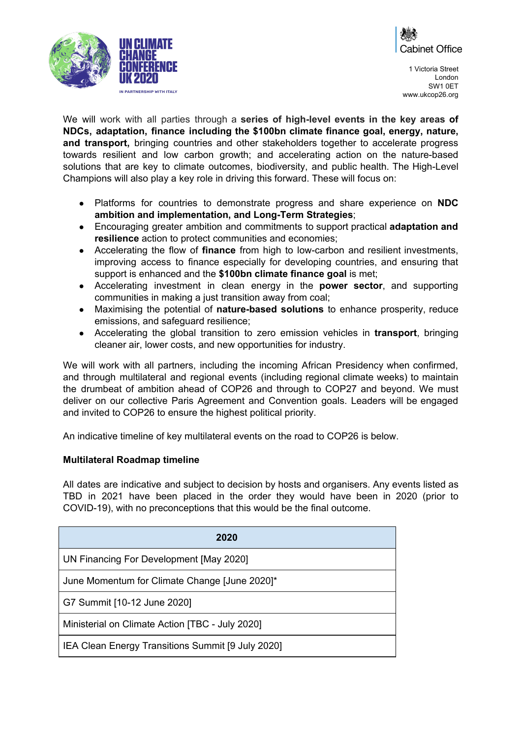



We will work with all parties through a **series of high-level events in the key areas of NDCs, adaptation, finance including the \$100bn climate finance goal, energy, nature, and transport,** bringing countries and other stakeholders together to accelerate progress towards resilient and low carbon growth; and accelerating action on the nature-based solutions that are key to climate outcomes, biodiversity, and public health. The High-Level Champions will also play a key role in driving this forward. These will focus on:

- Platforms for countries to demonstrate progress and share experience on **NDC ambition and implementation, and Long-Term Strategies**;
- Encouraging greater ambition and commitments to support practical **adaptation and resilience** action to protect communities and economies;
- Accelerating the flow of **finance** from high to low-carbon and resilient investments, improving access to finance especially for developing countries, and ensuring that support is enhanced and the **\$100bn climate finance goal** is met;
- Accelerating investment in clean energy in the **power sector**, and supporting communities in making a just transition away from coal;
- Maximising the potential of **nature-based solutions** to enhance prosperity, reduce emissions, and safeguard resilience;
- Accelerating the global transition to zero emission vehicles in **transport**, bringing cleaner air, lower costs, and new opportunities for industry.

We will work with all partners, including the incoming African Presidency when confirmed, and through multilateral and regional events (including regional climate weeks) to maintain the drumbeat of ambition ahead of COP26 and through to COP27 and beyond. We must deliver on our collective Paris Agreement and Convention goals. Leaders will be engaged and invited to COP26 to ensure the highest political priority.

An indicative timeline of key multilateral events on the road to COP26 is below.

## **Multilateral Roadmap timeline**

All dates are indicative and subject to decision by hosts and organisers. Any events listed as TBD in 2021 have been placed in the order they would have been in 2020 (prior to COVID-19), with no preconceptions that this would be the final outcome.

| 2020                                              |
|---------------------------------------------------|
| UN Financing For Development [May 2020]           |
| June Momentum for Climate Change [June 2020]*     |
| G7 Summit [10-12 June 2020]                       |
| Ministerial on Climate Action [TBC - July 2020]   |
| IEA Clean Energy Transitions Summit [9 July 2020] |